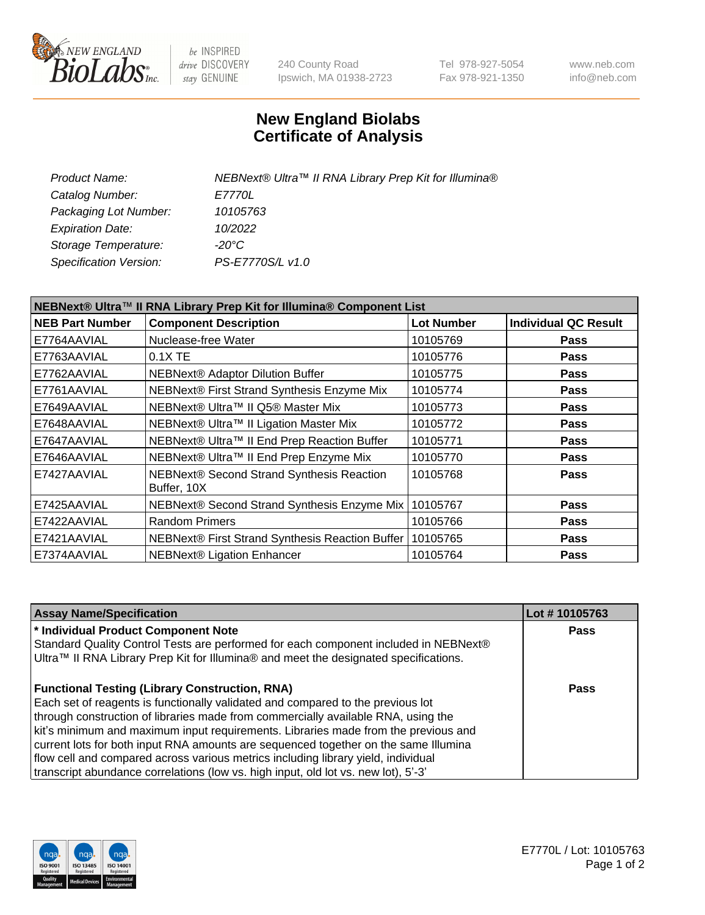

be INSPIRED drive DISCOVERY stay GENUINE

240 County Road Ipswich, MA 01938-2723 Tel 978-927-5054 Fax 978-921-1350 www.neb.com info@neb.com

## **New England Biolabs Certificate of Analysis**

| Product Name:           | NEBNext® Ultra™ II RNA Library Prep Kit for Illumina® |
|-------------------------|-------------------------------------------------------|
| Catalog Number:         | <i>E7770L</i>                                         |
| Packaging Lot Number:   | 10105763                                              |
| <b>Expiration Date:</b> | 10/2022                                               |
| Storage Temperature:    | -20°C                                                 |
| Specification Version:  | PS-E7770S/L v1.0                                      |
|                         |                                                       |

| NEBNext® Ultra™ II RNA Library Prep Kit for Illumina® Component List |                                                          |                   |                             |  |  |
|----------------------------------------------------------------------|----------------------------------------------------------|-------------------|-----------------------------|--|--|
| <b>NEB Part Number</b>                                               | <b>Component Description</b>                             | <b>Lot Number</b> | <b>Individual QC Result</b> |  |  |
| E7764AAVIAL                                                          | Nuclease-free Water                                      | 10105769          | Pass                        |  |  |
| E7763AAVIAL                                                          | 0.1X TE                                                  | 10105776          | <b>Pass</b>                 |  |  |
| E7762AAVIAL                                                          | <b>NEBNext® Adaptor Dilution Buffer</b>                  | 10105775          | <b>Pass</b>                 |  |  |
| E7761AAVIAL                                                          | NEBNext® First Strand Synthesis Enzyme Mix               | 10105774          | Pass                        |  |  |
| E7649AAVIAL                                                          | NEBNext® Ultra™ II Q5® Master Mix                        | 10105773          | <b>Pass</b>                 |  |  |
| E7648AAVIAL                                                          | NEBNext® Ultra™ II Ligation Master Mix                   | 10105772          | <b>Pass</b>                 |  |  |
| E7647AAVIAL                                                          | NEBNext® Ultra™ II End Prep Reaction Buffer              | 10105771          | <b>Pass</b>                 |  |  |
| E7646AAVIAL                                                          | NEBNext® Ultra™ II End Prep Enzyme Mix                   | 10105770          | <b>Pass</b>                 |  |  |
| E7427AAVIAL                                                          | NEBNext® Second Strand Synthesis Reaction<br>Buffer, 10X | 10105768          | <b>Pass</b>                 |  |  |
| E7425AAVIAL                                                          | NEBNext® Second Strand Synthesis Enzyme Mix              | 10105767          | <b>Pass</b>                 |  |  |
| E7422AAVIAL                                                          | <b>Random Primers</b>                                    | 10105766          | <b>Pass</b>                 |  |  |
| E7421AAVIAL                                                          | NEBNext® First Strand Synthesis Reaction Buffer          | 10105765          | <b>Pass</b>                 |  |  |
| E7374AAVIAL                                                          | <b>NEBNext® Ligation Enhancer</b>                        | 10105764          | <b>Pass</b>                 |  |  |

| <b>Assay Name/Specification</b>                                                                                                                                                                                                                                                                                                                                                                                                                                                                                                                                                       | Lot #10105763 |
|---------------------------------------------------------------------------------------------------------------------------------------------------------------------------------------------------------------------------------------------------------------------------------------------------------------------------------------------------------------------------------------------------------------------------------------------------------------------------------------------------------------------------------------------------------------------------------------|---------------|
| * Individual Product Component Note<br>Standard Quality Control Tests are performed for each component included in NEBNext®<br>Ultra™ II RNA Library Prep Kit for Illumina® and meet the designated specifications.                                                                                                                                                                                                                                                                                                                                                                   | <b>Pass</b>   |
| <b>Functional Testing (Library Construction, RNA)</b><br>Each set of reagents is functionally validated and compared to the previous lot<br>through construction of libraries made from commercially available RNA, using the<br>kit's minimum and maximum input requirements. Libraries made from the previous and<br>current lots for both input RNA amounts are sequenced together on the same Illumina<br>flow cell and compared across various metrics including library yield, individual<br>transcript abundance correlations (low vs. high input, old lot vs. new lot), 5'-3' | Pass          |